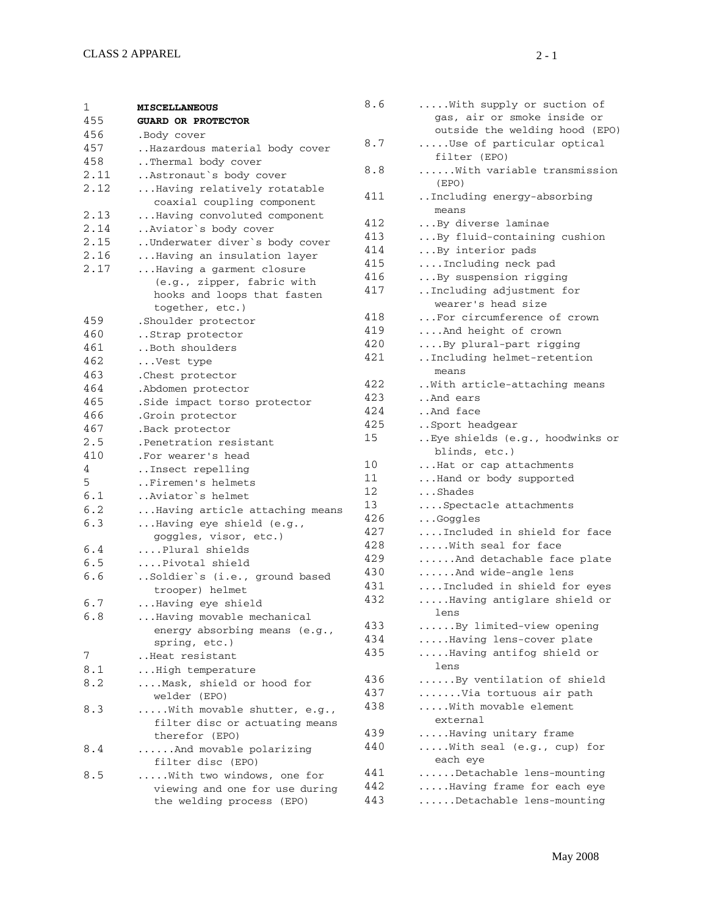| $\mathbf{1}$   | <b>MISCELLANEOUS</b>           | 8.6     | With supply or suction of                  |
|----------------|--------------------------------|---------|--------------------------------------------|
| 455            | <b>GUARD OR PROTECTOR</b>      |         | gas, air or smoke inside or                |
| 456            | .Body cover                    |         | outside the welding hood (EPO)             |
| 457            | Hazardous material body cover  | $8.7\,$ | Use of particular optical                  |
| 458            | Thermal body cover             |         | filter (EPO)                               |
| 2.11           | Astronaut's body cover         | 8.8     | $\ldots \ldots$ With variable transmission |
| 2.12           | Having relatively rotatable    |         | (EPO)                                      |
|                | coaxial coupling component     | 411     | Including energy-absorbing                 |
| 2.13           | Having convoluted component    |         | means                                      |
| 2.14           | Aviator's body cover           | 412     | By diverse laminae                         |
| 2.15           | Underwater diver's body cover  | 413     | By fluid-containing cushion                |
| 2.16           | Having an insulation layer     | 414     | By interior pads                           |
| 2.17           | Having a garment closure       | 415     | Including neck pad                         |
|                | (e.g., zipper, fabric with     | 416     | By suspension rigging                      |
|                | hooks and loops that fasten    | 417     | Including adjustment for                   |
|                | together, etc.)                |         | wearer's head size                         |
| 459            | .Shoulder protector            | 418     | For circumference of crown                 |
| 460            | Strap protector                | 419     | And height of crown                        |
| 461            | Both shoulders                 | 420     | By plural-part rigging                     |
| 462            | Vest type                      | 421     | Including helmet-retention                 |
| 463            | .Chest protector               |         | means                                      |
| 464            | . Abdomen protector            | 422     | With article-attaching means               |
| 465            | .Side impact torso protector   | 423     | And ears                                   |
| 466            | .Groin protector               | 424     | And face                                   |
| 467            | .Back protector                | 425     | Sport headgear                             |
| 2.5            | .Penetration resistant         | 15      | Eye shields (e.g., hoodwinks or            |
| 410            | .For wearer's head             |         | blinds, etc.)                              |
| 4              | Insect repelling               | 10      | Hat or cap attachments                     |
| 5              | Firemen's helmets              | 11      | Hand or body supported                     |
| 6.1            | Aviator`s helmet               | 12      | $\ldots$ Shades                            |
| 6.2            | Having article attaching means | 13      | Spectacle attachments                      |
| 6.3            | Having eye shield (e.g.,       | 426     | Goggles                                    |
|                | goggles, visor, etc.)          | 427     | Included in shield for face                |
| 6.4            | Plural shields                 | 428     | With seal for face                         |
| 6.5            | Pivotal shield                 | 429     | And detachable face plate                  |
| 6.6            | Soldier's (i.e., ground based  | 430     | And wide-angle lens                        |
|                | trooper) helmet                | 431     | Included in shield for eyes                |
| 6.7            | Having eye shield              | 432     | Having antiglare shield or                 |
| 6.8            | Having movable mechanical      |         | lens                                       |
|                | energy absorbing means (e.g.,  | 433     | By limited-view opening                    |
|                | spring, etc.)                  | 434     | Having lens-cover plate                    |
| $7\phantom{.}$ | Heat resistant                 | 435     | Having antifog shield or                   |
| 8.1            | High temperature               |         | lens                                       |
| 8.2            | Mask, shield or hood for       | 436     | By ventilation of shield                   |
|                | welder (EPO)                   | 437     | Via tortuous air path                      |
| 8.3            | With movable shutter, e.g.,    | 438     | With movable element                       |
|                | filter disc or actuating means |         | external                                   |
|                | therefor (EPO)                 | 439     | Having unitary frame                       |
| 8.4            | And movable polarizing         | 440     | With seal (e.g., cup) for                  |
|                | filter disc (EPO)              |         | each eye                                   |
| 8.5            | With two windows, one for      | 441     | Detachable lens-mounting                   |
|                | viewing and one for use during | 442     | Having frame for each eye                  |
|                | the welding process (EPO)      | 443     | Detachable lens-mounting                   |
|                |                                |         |                                            |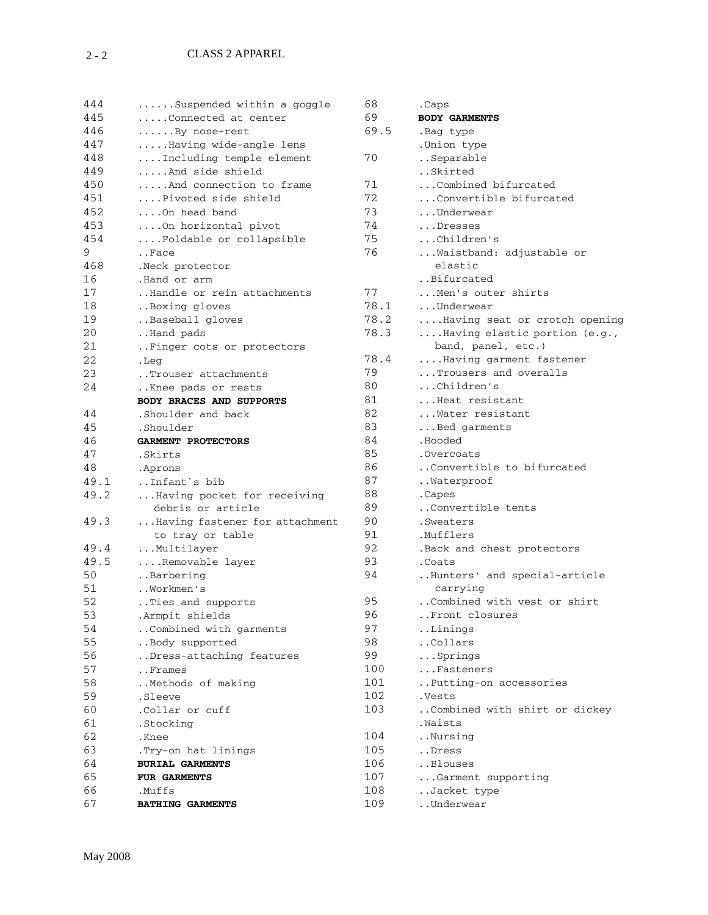# 2 - 2 CLASS 2 APPAREL

| 444  | Suspended within a goggle       | 68   | .Caps                                   |
|------|---------------------------------|------|-----------------------------------------|
| 445  | Connected at center             | 69   | <b>BODY GARMENTS</b>                    |
| 446  | $\ldots$ By nose-rest           | 69.5 | .Bag type                               |
| 447  | Having wide-angle lens          |      | .Union type                             |
| 448  | Including temple element        | 70   | Separable                               |
| 449  | And side shield                 |      | Skirted                                 |
| 450  | And connection to frame         | 71   | Combined bifurcated                     |
| 451  | Pivoted side shield             | 72   | Convertible bifurcated                  |
| 452  | On head band                    | 73   | Underwear                               |
| 453  | On horizontal pivot             | 74   | Dresses                                 |
| 454  | Foldable or collapsible         | 75   | Children's                              |
| 9    | Face                            | 76   | Waistband: adjustable or                |
| 468  | .Neck protector                 |      | elastic                                 |
| 16   | .Hand or arm                    |      | Bifurcated                              |
| 17   | Handle or rein attachments      | 77   | Men's outer shirts                      |
| 18   | Boxing gloves                   | 78.1 | Underwear                               |
| 19   | Baseball gloves                 | 78.2 | Having seat or crotch opening           |
| 20   | Hand pads                       | 78.3 | Having elastic portion (e.g.,           |
| 21   | Finger cots or protectors       |      | band, panel, etc.)                      |
| 22   | .Leg                            | 78.4 | Having garment fastener                 |
| 23   | Trouser attachments             | 79   | Trousers and overalls                   |
| 24   | Knee pads or rests              | 80   | Children's                              |
|      | <b>BODY BRACES AND SUPPORTS</b> | 81   | Heat resistant                          |
| 44   | .Shoulder and back              | 82   | Water resistant                         |
| 45   | .Shoulder                       | 83   | Bed garments                            |
| 46   | <b>GARMENT PROTECTORS</b>       | 84   | .Hooded                                 |
| 47   | .Skirts                         | 85   | .Overcoats                              |
| 48   | . Aprons                        | 86   | Convertible to bifurcated               |
| 49.1 | Infant`s bib                    | 87   | Waterproof                              |
| 49.2 | Having pocket for receiving     | 88   | .Capes                                  |
|      | debris or article               | 89   | Convertible tents                       |
| 49.3 | Having fastener for attachment  | 90   | .Sweaters                               |
|      | to tray or table                | 91   | .Mufflers                               |
| 49.4 | Multilayer                      | 92   | . Back and chest protectors             |
| 49.5 | Removable layer                 | 93   | .Coats                                  |
| 50   | Barbering                       | 94   | Hunters' and special-article            |
| 51   | Workmen's                       |      |                                         |
| 52   |                                 | 95   | carrying<br>Combined with vest or shirt |
|      | Ties and supports               | 96   |                                         |
| 53   | .Armpit shields                 | 97   | Front closures                          |
| 54   | Combined with garments          |      | Linings                                 |
| 55   | Body supported                  | 98   | Collars                                 |
| 56   | Dress-attaching features        | 99   | Springs                                 |
| 57   | Frames                          | 100  | Fasteners                               |
| 58   | Methods of making               | 101  | Putting-on accessories                  |
| 59   | .Sleeve                         | 102  | .Vests                                  |
| 60   | .Collar or cuff                 | 103  | Combined with shirt or dickey           |
| 61   | .Stocking                       |      | .Waists                                 |
| 62   | .Knee                           | 104  | Nursing                                 |
| 63   | .Try-on hat linings             | 105  | Dress                                   |
| 64   | <b>BURIAL GARMENTS</b>          | 106  | Blouses                                 |
| 65   | <b>FUR GARMENTS</b>             | 107  | Garment supporting                      |
| 66   | .Muffs                          | 108  | Jacket type                             |
| 67   | <b>BATHING GARMENTS</b>         | 109  | Underwear                               |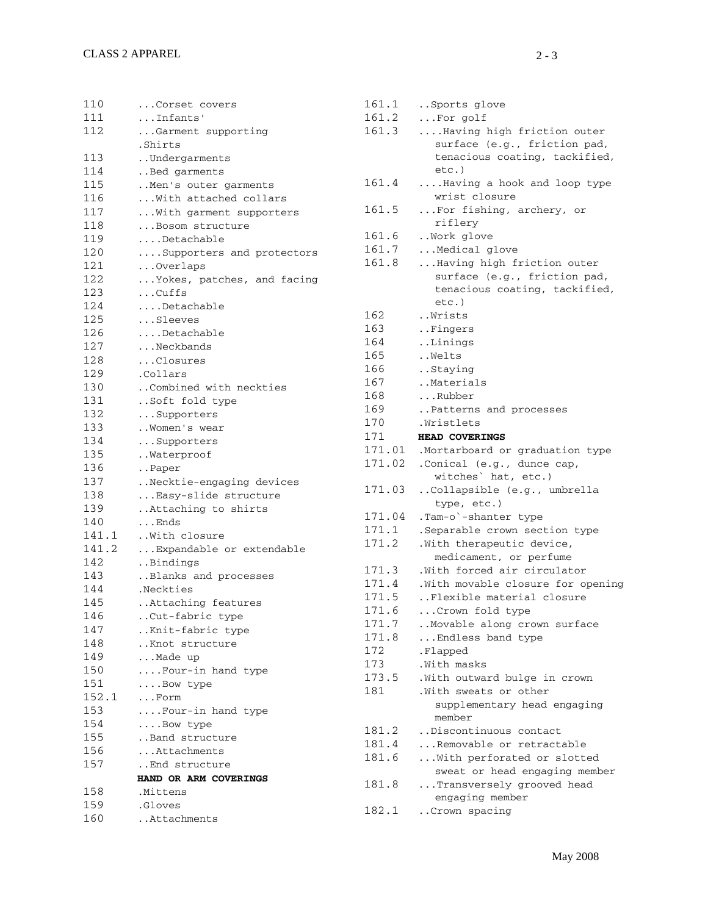| 110   | Corset covers              | 161.1  | Sports glove                           |
|-------|----------------------------|--------|----------------------------------------|
| 111   | $\ldots$ Infants'          | 161.2  | $\ldots$ For golf                      |
| 112   | Garment supporting         | 161.3  | Having high friction outer             |
|       | .Shirts                    |        | surface (e.g., friction pad,           |
| 113   | Undergarments              |        | tenacious coating, tackified,          |
| 114   | Bed garments               |        | $etc.$ )                               |
| 115   | Men's outer garments       | 161.4  | Having a hook and loop type            |
| 116   | With attached collars      |        | wrist closure                          |
| 117   | With garment supporters    | 161.5  | For fishing, archery, or               |
| 118   | Bosom structure            |        | riflery                                |
| 119   | Detachable                 | 161.6  | Work glove                             |
| 120   | Supporters and protectors  | 161.7  | Medical glove                          |
| 121   | Overlaps                   | 161.8  | Having high friction outer             |
| 122   | Yokes, patches, and facing |        | surface (e.g., friction pad,           |
| 123   | $\ldots$ Cuffs             |        | tenacious coating, tackified,          |
| 124   | Detachable                 |        | $etc.$ )                               |
| 125   | Sleeves                    | 162    | Wrists                                 |
| 126   | Detachable                 | 163    | Fingers                                |
| 127   | Neckbands                  | 164    | Linings                                |
| 128   | Closures                   | 165    | Welts                                  |
| 129   | .Collars                   | 166    | Staying                                |
| 130   | Combined with neckties     | 167    | Materials                              |
| 131   | Soft fold type             | 168    | Rubber                                 |
| 132   | Supporters                 | 169    | Patterns and processes                 |
| 133   | Women's wear               | 170    | .Wristlets                             |
| 134   | Supporters                 | 171    | HEAD COVERINGS                         |
| 135   | Waterproof                 |        | 171.01 .Mortarboard or graduation type |
| 136   | Paper                      | 171.02 | .Conical (e.g., dunce cap,             |
| 137   | Necktie-engaging devices   |        | witches' hat, etc.)                    |
| 138   | Easy-slide structure       | 171.03 | Collapsible (e.g., umbrella            |
| 139   | Attaching to shirts        |        | type, etc.)                            |
| 140   | $\ldots$ Ends              | 171.04 | .Tam-o'-shanter type                   |
| 141.1 | With closure               | 171.1  | .Separable crown section type          |
| 141.2 | Expandable or extendable   | 171.2  | .With therapeutic device,              |
| 142   | Bindings                   |        | medicament, or perfume                 |
| 143   | Blanks and processes       | 171.3  | .With forced air circulator            |
| 144   | .Neckties                  | 171.4  | .With movable closure for opening      |
| 145   | Attaching features         | 171.5  | Flexible material closure              |
| 146   | Cut-fabric type            | 171.6  | Crown fold type                        |
| 147   | Knit-fabric type           | 171.7  | Movable along crown surface            |
| 148   | Knot structure             | 171.8  | Endless band type                      |
| 149   | Made up                    | 172    | .Flapped                               |
| 150   | Four-in hand type          | 173    | .With masks                            |
| 151   |                            | 173.5  | .With outward bulge in crown           |
| 152.1 | Bow type<br>$\ldots$ Form  | 181    | .With sweats or other                  |
| 153   |                            |        | supplementary head engaging            |
|       | Four-in hand type          |        | member                                 |
| 154   | Bow type                   | 181.2  | Discontinuous contact                  |
| 155   | Band structure             | 181.4  | Removable or retractable               |
| 156   | Attachments                | 181.6  | With perforated or slotted             |
| 157   | End structure              |        | sweat or head engaging member          |
|       | HAND OR ARM COVERINGS      | 181.8  | Transversely grooved head              |
| 158   | .Mittens                   |        | engaging member                        |
| 159   |                            |        |                                        |
| 160   | .Gloves<br>Attachments     | 182.1  | Crown spacing                          |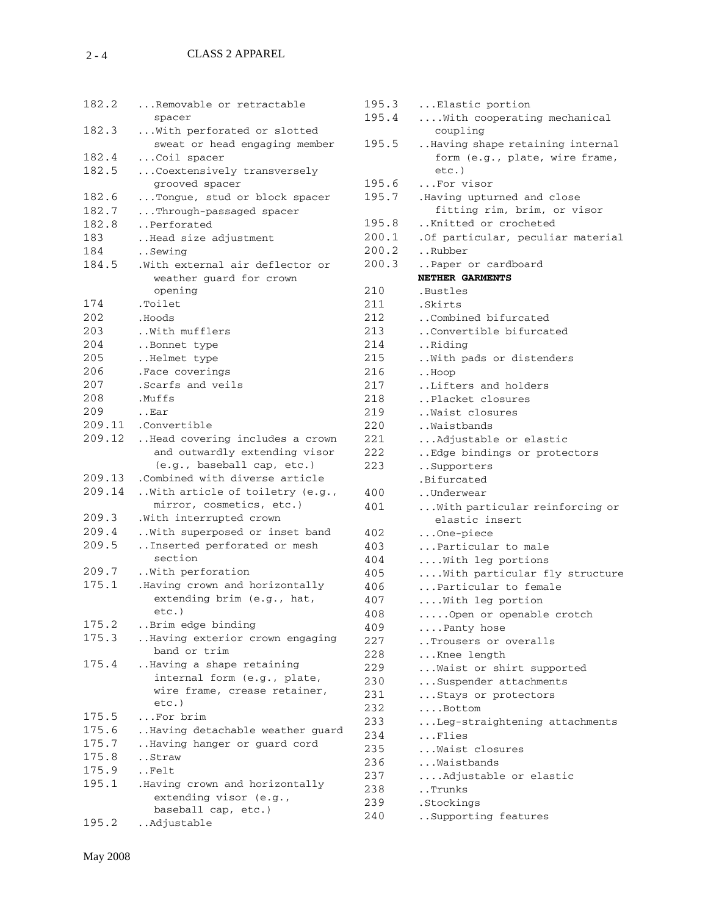#### $2 - 4$ CLASS 2 APPAREL

| 182.2  | Removable or retractable<br>spacer |
|--------|------------------------------------|
| 182.3  | With perforated or slotted         |
|        | sweat or head engaging member      |
| 182.4  | Coil spacer                        |
| 182.5  | Coextensively transversely         |
|        | grooved spacer                     |
| 182.6  | Tongue, stud or block spacer       |
| 182.7  | Through-passaged spacer            |
| 182.8  | Perforated                         |
| 183    | Head size adjustment               |
| 184    | Sewing                             |
| 184.5  | .With external air deflector or    |
|        | weather guard for crown            |
|        | opening                            |
| 174    | .Toilet                            |
| 202    | .Hoods                             |
| 203    | With mufflers                      |
| 204    | Bonnet type                        |
| 205    | Helmet type                        |
| 206    | .Face coverings                    |
| 207    | Scarfs and veils                   |
| 208    | .Muffs                             |
| 209    | Ear                                |
| 209.11 | .Convertible                       |
| 209.12 | Head covering includes a crown     |
|        | and outwardly extending visor      |
|        | (e.g., baseball cap, etc.)         |
| 209.13 | .Combined with diverse article     |
| 209.14 | With article of toiletry (e.g.,    |
|        | mirror, cosmetics, etc.)           |
| 209.3  | .With interrupted crown            |
| 209.4  | With superposed or inset band      |
| 209.5  | Inserted perforated or mesh        |
|        | section                            |
| 209.7  | With perforation                   |
| 175.1  | . Having crown and horizontally    |
|        | extending brim (e.g., hat,         |
|        | $etc.$ )                           |
| 175.2  | Brim edge binding                  |
| 175.3  | Having exterior crown engaging     |
|        | band or trim                       |
| 175.4  | Having a shape retaining           |
|        | internal form (e.g., plate,        |
|        | wire frame, crease retainer,       |
|        | $etc.$ )                           |
| 175.5  | For brim                           |
| 175.6  | Having detachable weather guard    |
| 175.7  | Having hanger or guard cord        |
| 175.8  | Straw                              |
| 175.9  | Felt                               |
| 195.1  | . Having crown and horizontally    |
|        | extending visor (e.g.,             |
|        | baseball cap, etc.)                |
| 195.2  | Adjustable                         |

| 195.3      | Elastic portion                                  |
|------------|--------------------------------------------------|
| 195.4      | With cooperating mechanical                      |
|            | coupling                                         |
| 195.5      | Having shape retaining internal                  |
|            | form (e.g., plate, wire frame,                   |
|            | $etc.$ )                                         |
| 195.6      | For visor                                        |
| 195.7      | . Having upturned and close                      |
|            | fitting rim, brim, or visor                      |
| 195.8      | Knitted or crocheted                             |
| 200.1      | .Of particular, peculiar material                |
| 200.2      | Rubber                                           |
| 200.3      | Paper or cardboard                               |
|            | NETHER GARMENTS                                  |
| 210        | .Bustles                                         |
| 211        | .Skirts                                          |
| 212        | Combined bifurcated                              |
| 213        | Convertible bifurcated                           |
| 214        | Riding                                           |
| 215        | With pads or distenders                          |
| 216        | Hoop                                             |
| 217        | Lifters and holders                              |
| 218        | Placket closures                                 |
| 219        | Waist closures                                   |
| 220        | Waistbands                                       |
| 221        | Adjustable or elastic                            |
| 222        | Edge bindings or protectors                      |
| 223        | Supporters                                       |
|            | .Bifurcated                                      |
| 400        | Underwear                                        |
| 401        |                                                  |
|            | With particular reinforcing or<br>elastic insert |
| 402        | One-piece                                        |
| 403        | Particular to male                               |
| 404        | With leg portions                                |
| 405        | With particular fly structure                    |
| 406        | Particular to female                             |
| 407        |                                                  |
| 408        | With leg portion                                 |
| 409        | Open or openable crotch                          |
| 227        | Panty hose<br>Trousers or overalls               |
| 228        |                                                  |
|            | Knee length                                      |
| 229<br>230 | Waist or shirt supported                         |
|            | Suspender attachments                            |
| 231        | Stays or protectors                              |
| 232        | Bottom                                           |
| 233        | Leg-straightening attachments                    |
| 234        | Flies                                            |
| 235        | Waist closures                                   |
| 236        | Waistbands                                       |
| 237        | Adjustable or elastic                            |
| 238        | Trunks                                           |
| 239        | .Stockings                                       |
| 240        | Supporting features                              |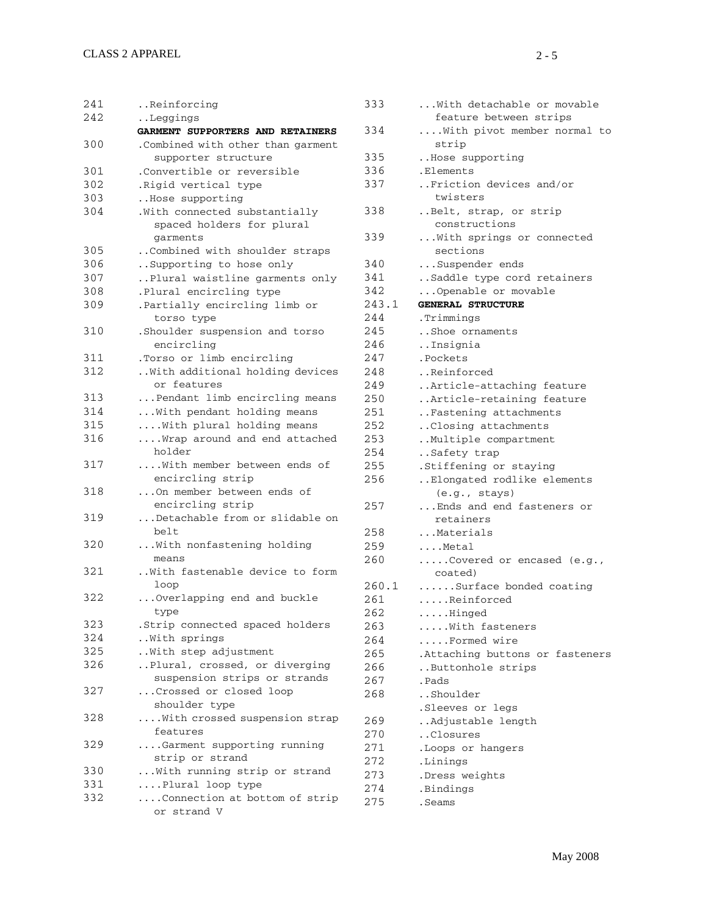| 241<br>242 | Reinforcing                                         | 333   | With detachable or movable<br>feature between strips |
|------------|-----------------------------------------------------|-------|------------------------------------------------------|
|            | Leggings<br><b>GARMENT SUPPORTERS AND RETAINERS</b> | 334   | With pivot member normal to                          |
| 300        | Combined with other than garment.                   |       | strip                                                |
|            | supporter structure                                 | 335   | Hose supporting                                      |
| 301        | .Convertible or reversible                          | 336   | .Elements                                            |
| 302        | .Rigid vertical type                                | 337   | Friction devices and/or                              |
| 303        | Hose supporting                                     |       | twisters                                             |
| 304        | .With connected substantially                       | 338   | Belt, strap, or strip                                |
|            | spaced holders for plural                           |       | constructions                                        |
|            | garments                                            | 339   | With springs or connected                            |
| 305        | Combined with shoulder straps                       |       | sections                                             |
| 306        | Supporting to hose only                             | 340   | Suspender ends                                       |
| 307        | Plural waistline garments only                      | 341   | Saddle type cord retainers                           |
| 308        |                                                     | 342   | Openable or movable                                  |
|            | .Plural encircling type                             | 243.1 | <b>GENERAL STRUCTURE</b>                             |
| 309        | .Partially encircling limb or                       | 244   |                                                      |
|            | torso type                                          |       | .Trimmings                                           |
| 310        | .Shoulder suspension and torso                      | 245   | Shoe ornaments                                       |
|            | encircling                                          | 246   | Insignia                                             |
| 311        | .Torso or limb encircling                           | 247   | .Pockets                                             |
| 312        | With additional holding devices                     | 248   | Reinforced                                           |
|            | or features                                         | 249   | Article-attaching feature                            |
| 313        | Pendant limb encircling means                       | 250   | Article-retaining feature                            |
| 314        | With pendant holding means                          | 251   | Fastening attachments                                |
| 315        | With plural holding means                           | 252   | Closing attachments                                  |
| 316        | Wrap around and end attached                        | 253   | Multiple compartment                                 |
|            | holder                                              | 254   | Safety trap                                          |
| 317        | With member between ends of                         | 255   | .Stiffening or staying                               |
|            | encircling strip                                    | 256   | Elongated rodlike elements                           |
| 318        | On member between ends of                           |       | (e.g., stays)                                        |
|            | encircling strip                                    | 257   | Ends and end fasteners or                            |
| 319        | Detachable from or slidable on                      |       | retainers                                            |
|            | belt                                                | 258   | Materials                                            |
| 320        | With nonfastening holding                           | 259   | $\ldots$ Metal                                       |
|            | means                                               | 260   | Covered or encased (e.g.,                            |
| 321        | With fastenable device to form                      |       | coated)                                              |
|            | loop                                                | 260.1 | Surface bonded coating                               |
| 322        | Overlapping end and buckle                          | 261   | $\ldots$ .Reinforced                                 |
|            | type                                                | 262   | $\ldots$ .Hinged                                     |
| 323        | .Strip connected spaced holders                     | 263   | With fasteners                                       |
| 324        | With springs                                        | 264   | Formed wire                                          |
| 325        | With step adjustment                                | 265   | . Attaching buttons or fasteners                     |
| 326        | Plural, crossed, or diverging                       | 266   | Buttonhole strips                                    |
|            | suspension strips or strands                        | 267   | .Pads                                                |
| 327        | Crossed or closed loop                              | 268   | Shoulder                                             |
|            | shoulder type                                       |       | .Sleeves or legs                                     |
| 328        | With crossed suspension strap                       | 269   |                                                      |
|            | features                                            |       | Adjustable length<br>Closures                        |
| 329        | Garment supporting running                          | 270   |                                                      |
|            | strip or strand                                     | 271   | .Loops or hangers                                    |
| 330        | With running strip or strand                        | 272   | .Linings                                             |
| 331        | Plural loop type                                    | 273   | .Dress weights                                       |
| 332        | Connection at bottom of strip                       | 274   | .Bindings                                            |
|            | or strand V                                         | 275   | .Seams                                               |